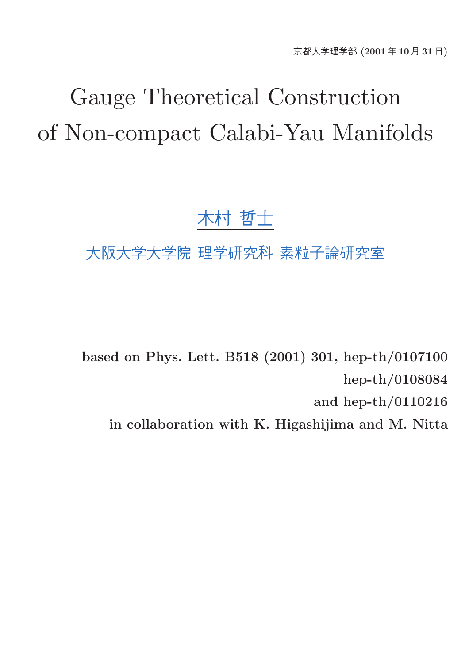# Gauge Theoretical Construction of Non-compact Calabi-Yau Manifolds

## 木村 哲士

## 大阪大学大学院 理学研究科 素粒子論研究室

based on Phys. Lett. B518 (2001) 301, hep-th/0107100 hep-th/0108084 and hep-th/0110216 in collaboration with K. Higashijima and M. Nitta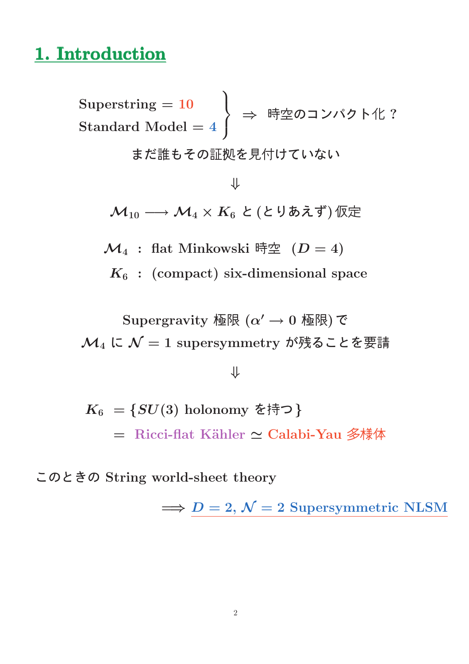## 1. Introduction

 $\text{Superstring} = 10$  $\mathrm{Standard\ Model} = 4$  $\mathbf{A}$  $\overline{1}$  $\mathbf{J}$  $\Rightarrow$  時空のコンパクト化? まだ誰もその証拠を見付けていない ⇓  $\mathcal{M}_{10} \longrightarrow \mathcal{M}_{4} \times K_{6}$  と (とりあえず) 仮定

 $\mathcal{M}_4$  : flat Minkowski 時空  $(D = 4)$ 

 $K_6$ : (compact) six-dimensional space

Supergravity 極限  $(\alpha' \rightarrow 0$  極限)で  $\mathcal{M}_4$  に  $\mathcal{N}=1$  supersymmetry が残ることを要請

#### ⇓

 $K_6 = \{SU(3) \text{ holonomy } \hat{\epsilon}$ 持つ} = Ricci-flat K¨ahler ≃ Calabi-Yau 多様体

このときの String world-sheet theory

 $\implies D = 2, \mathcal{N} = 2$  Supersymmetric NLSM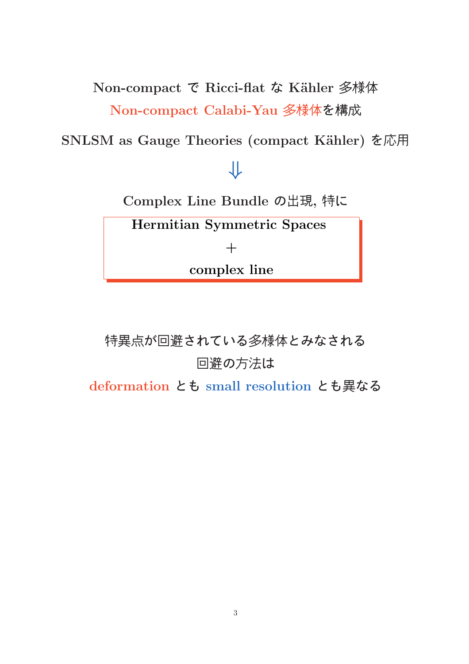Non-compact で Ricci-flat な Kähler 多様体

Non-compact Calabi-Yau 多様体を構成

SNLSM as Gauge Theories (compact Kähler) を応用

## ⇓

Complex Line Bundle の出現, 特に

Hermitian Symmetric Spaces

 $+$ 

complex line

特異点が回避されている多様体とみなされる 回避の方法は

deformation とも small resolution とも異なる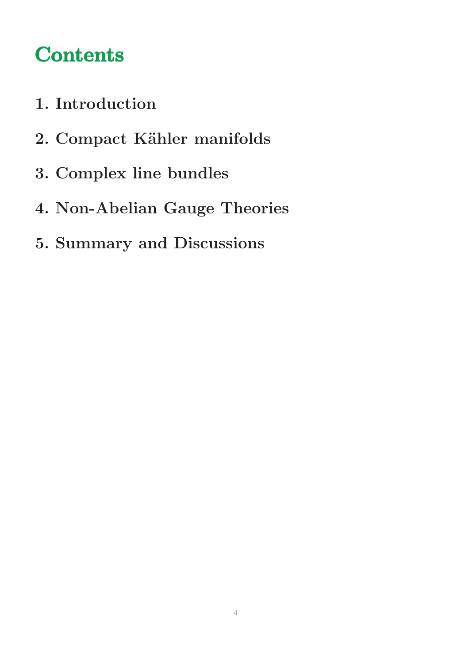## **Contents**

- 1. Introduction
- 2. Compact Kähler manifolds
- 3. Complex line bundles
- 4. Non-Abelian Gauge Theories
- 5. Summary and Discussions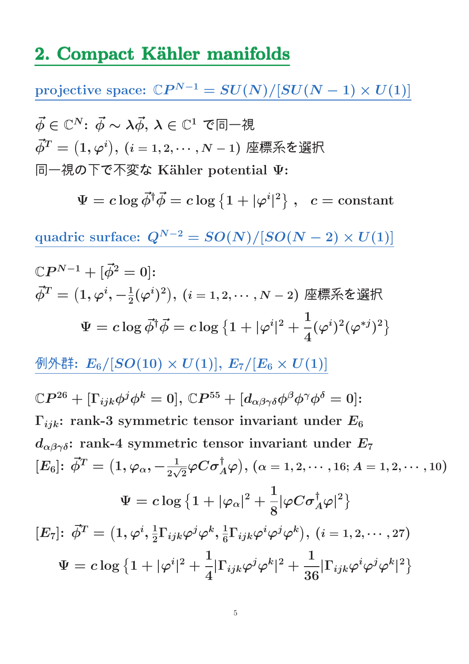## 2. Compact Kähler manifolds

 $\text{projective space: } \mathbb{C}P^{N-1} = SU(N)/[SU(N-1)\times U(1)]$  $\vec{\phi} \in \mathbb{C}^N$ :  $\vec{\phi} \sim \lambda \vec{\phi}, \, \lambda \in \mathbb{C}^1$  で同一視  $\vec{\phi}^T = \big(1, \varphi^i\big), \, (i=1,2,\cdots,N-1)$  座標系を選択 同一視の下で不変な K¨ahler potential Ψ:  $\Psi = c \log \vec{\phi}^{\dagger} \vec{\phi} = c \log \left\{ 1 + |\varphi^i| \right\}$ |  $\left\{ \begin{array}{ll} 2 \end{array} \right\} \, , \,\,\,\, c = \hbox{constant}$ quadric surface:  $Q^{N-2} = SO(N)/[SO(N-2) \times U(1)]$  $\mathbb{C}P^{N-1}+[\vec{\phi}^2=0]\mathpunct{:}$  $\vec{\phi}^T=\big(1,\varphi^i,-\frac{1}{2}(\varphi^i)^2\big),\,(i=1,2,\cdots,N-2)$  座標系を選択  $\Psi = c \log \vec{\phi}^{\dagger} \vec{\phi} = c \log \left\{ 1 + |\varphi^i| \right\}$  $|^{2}$  + 1 4  $(\varphi^i)^2(\varphi^{*j})^2$ 例外群:  $E_6/[SO(10) \times U(1)], E_7/[E_6 \times U(1)]$  $\mathbb{C}P^{26}+[\Gamma_{ijk}\phi^{j}\phi^{k}=0],\,\mathbb{C}P^{55}+ [d_{\alpha\beta\gamma\delta}\phi^{\beta}\phi^{\gamma}\phi^{\delta}=0]$ :  $\Gamma_{ijk}$ : rank-3 symmetric tensor invariant under  $E_6$  $d_{\alpha\beta\gamma\delta}$ : rank-4 symmetric tensor invariant under  $E_7$  $[E_6] \colon \vec{\phi}^T = \big(1, \varphi_\alpha, -\frac{1}{2\sqrt{2}}\varphi C \sigma_A^\dagger\varphi \big), \, (\alpha = 1, 2, \cdots, 16; A = 1, 2, \cdots, 10)$  $\Psi = c \log \left\{ 1 + |\varphi_\alpha|^2 + \right.$ 1 8  $|\varphi C\sigma_A^\dagger \varphi|^2\big\}$  $[E_7] \colon \, \vec{\phi}^T = \big( 1 , \varphi^i, \frac{1}{2} \big)$  $\frac{1}{2}\Gamma_{ijk}\varphi^{j}\varphi^{k},\frac{1}{6}% \varphi^{j}=\varphi^{k}+\varphi^{k}$  $\frac{1}{6}\Gamma_{ijk}\varphi^{i}\varphi^{j}\varphi^{k}\big),\ (i=1,2,\cdots,27)$  $\Psi = c \log \big\{ 1 + |\varphi^i$  $|^{2}$  + 1 4  $|\Gamma_{ijk}\varphi^j\varphi^k$  $|^{2}$  + 1 36  $|\Gamma_{ijk}\varphi^{i}\varphi^{j}\varphi^{k}$ |  $2\overline{)}$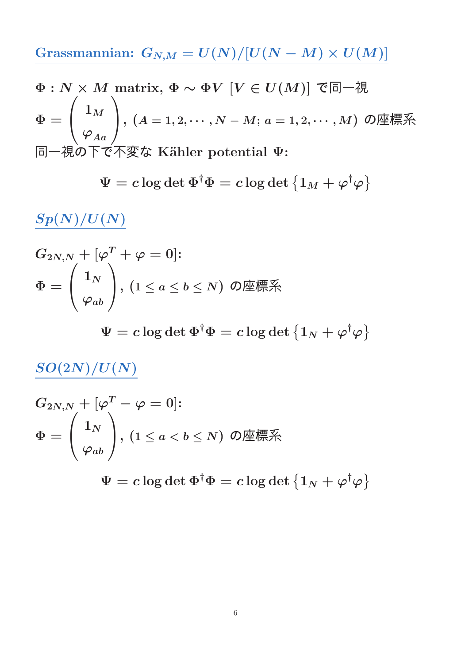Grassmannian:  $G_{N,M} = U(N)/[U(N-M) \times U(M)]$ 

$$
\Phi: N \times M \text{ matrix, } \Phi \sim \Phi V \ [V \in U(M)] \text{ } \mathfrak{E} \Box \negthinspace \mathcal{H}
$$
\n
$$
\Phi = \begin{pmatrix} 1_M \\ \varphi_{Aa} \end{pmatrix}, (A = 1, 2, \cdots, N - M; a = 1, 2, \cdots, M) \text{ } O \text{#} \mathbb{R} \text{#}
$$
\n
$$
\Box \negthinspace \mathcal{H} \mathcal{D} \text{ } \mathcal{T} \text{ } \mathcal{D} \text{ } \mathcal{K} \text{ } \mathcal{K} \text{ } \text{Kähler potential } \Psi:
$$

$$
\Psi = c \log \det \Phi^\dagger \Phi = c \log \det \left\{ 1_M + \varphi^\dagger \varphi \right\}
$$

 $\frac{Sp(N)/U(N)}{D}$ 

$$
G_{2N,N} + [\varphi^T + \varphi = 0] \mathpunct{:} \\\Phi = \begin{pmatrix} 1_N \\ \varphi_{ab} \end{pmatrix}, \, (1 \le a \le b \le N) \,\text{ O} \text{ ∎ } \text{ 1} \text{ √} \text{ P} \text{ √ } \text{ P} \text{ √ } \text{ P} \text{ √ } \text{ P} \text{ √ } \text{ P} \text{ √ } \text{ P} \text{ √ } \text{ P} \text{ √ } \text{ P} \text{ √ } \text{ P} \text{ √ } \text{ P} \text{ √ } \text{ P} \text{ √ } \text{ P} \text{ √ } \text{ P} \text{ √ } \text{ P} \text{ √ } \text{ P} \text{ √ } \text{ P} \text{ √ } \text{ P} \text{ √ } \text{ P} \text{ √ } \text{ P} \text{ √ } \text{ P} \text{ √ } \text{ P} \text{ √ } \text{ P} \text{ √ } \text{ P} \text{ √ } \text{ P} \text{ √ } \text{ P} \text{ √ } \text{ P} \text{ √ } \text{ P} \text{ √ } \text{ P} \text{ √ } \text{ P} \text{ √ } \text{ P} \text{ √ } \text{ P} \text{ √ } \text{ P} \text{ √ } \text{ P} \text{ √ } \text{ P} \text{ √ } \text{ P} \text{ √ } \text{ P} \text{ √ } \text{ P} \text{ √ } \text{ P} \text{ √ } \text{ P} \text{ √ } \text{ P} \text{ √ } \text{ P} \text{ √ } \text{ P} \text{ √ } \text{ P} \text{ √ } \text{ P} \text{ √ } \text{ P} \text{ √ } \text{ P} \text{ √ } \text{ P} \text{ √ } \text{ P} \text{ √ } \text{ P} \text{ √ } \text{ P} \text{ √ } \text{ P} \text{ √ } \text{ P} \text{ √ } \text{ P} \text{ √ } \text{ P} \text{ √ } \text{ P} \text{ √ } \text{ P} \text{ √ } \text{ P} \text{ √ } \text{ P} \text{ √ } \text{ P} \text{ √ } \text{ P} \text{ √ } \text{ P} \text{
$$

 $\Psi = c \log \det \Phi^\dagger \Phi = c \log \det \left\{ 1_N + \varphi^\dagger \varphi \right\}$ 

 $SO(2N)/U(N)$ 

$$
\begin{aligned} &G_{2N,N}+[\varphi^T-\varphi=0] \text{:} \\ &\Phi=\left(\begin{array}{c} 1_N\\ \varphi_{ab} \end{array}\right)\!, \,(1\leq a < b \leq N)\,\text{ } \mathcal{O} \text{ } \!\!\!\! \text{ } \overline{\text{ }P} \text{ } \!\!\!\! \text{ } \overline{\text{ }P} \text{ } \text{\rm } \overline{\text{ }P} \text{ } \text{\rm } \overline{\text{ }P} \text{ } \text{\rm } \end{aligned}
$$

 $\Psi = c \log \det \Phi^\dagger \Phi = c \log \det \left\{ 1_N + \varphi^\dagger \varphi \right\}$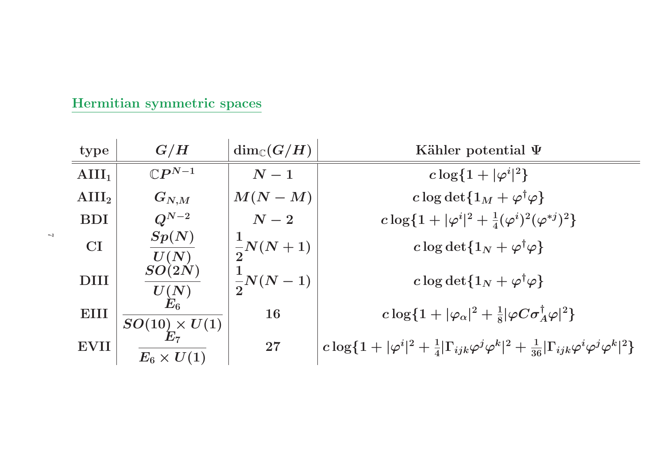| Hermitian symmetric spaces |  |
|----------------------------|--|
|                            |  |

| type              | G/H                          | $\dim_{\mathbb{C}}(G/H)$ | Kähler potential $\Psi$                                                                                                           |
|-------------------|------------------------------|--------------------------|-----------------------------------------------------------------------------------------------------------------------------------|
| $\text{AlII}_1$   | $\mathbb{C}P^{N-1}$          | $N-1$                    | $c \log\{1 +  \varphi^{i} ^{2}\}\$                                                                                                |
| $\mathbf{AIII}_2$ | $\boldsymbol{G_{N,M}}$       | $M(N-M)$                 | c log det $\{1_M + \varphi^{\dagger} \varphi\}$                                                                                   |
| <b>BDI</b>        | $Q^{N-2}$                    | $\,N-2$                  | $c \log\{1+ \varphi^i ^2+\frac{1}{4}(\varphi^i)^2(\varphi^{*j})^2\}$                                                              |
| <b>CI</b>         | Sp(N)<br>U(N)                | $\frac{1}{2}N(N+1)$      | c log det $\{1_N + \varphi^{\dagger} \varphi\}$                                                                                   |
| <b>DIII</b>       | SO(2N)<br>$\frac{U(N)}{E_6}$ | $\frac{1}{2}N(N-1)$      | c log det $\{1_N + \varphi^{\dagger} \varphi\}$                                                                                   |
| <b>EIII</b>       | $SO(10)\times U(1) \ E_7$    | <b>16</b>                | $c \log\{1 +  \varphi_\alpha ^2 + \frac{1}{8}  \varphi C \sigma_A^{\dagger} \varphi ^2\}$                                         |
| <b>EVII</b>       | $E_6 \times U(1)$            | $27\,$                   | $c \log\{1+ \varphi^i ^2+\frac{1}{4} \Gamma_{ijk}\varphi^j\varphi^k ^2+\frac{1}{36} \Gamma_{ijk}\varphi^i\varphi^j\varphi^k ^2\}$ |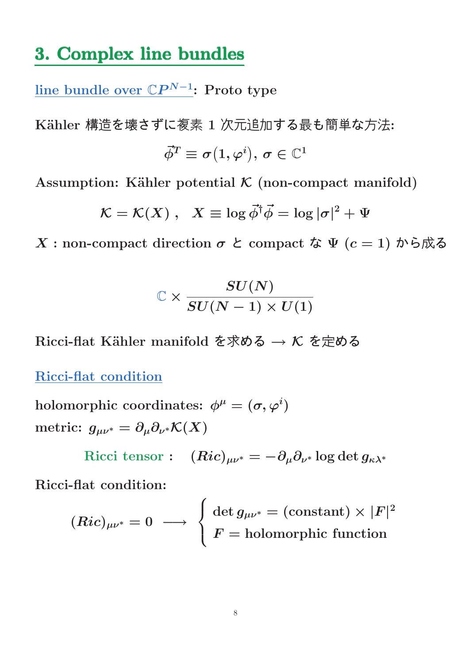## 3. Complex line bundles

 $\overline{\text{line bundle over } \mathbb{C}P^{N-1}}\text{:} \text{ Proto type}$ 

Kähler 構造を壊さずに複素 1 次元追加する最も簡単な方法:

$$
\vec{\phi}^T\equiv\sigma\big(1,\varphi^i\big),\,\sigma\in\mathbb{C}^1
$$

Assumption: Kähler potential  $K$  (non-compact manifold)

$$
\mathcal{K} = \mathcal{K}(X) \;,\;\; X \equiv \log \vec{\phi}^{\dagger} \vec{\phi} = \log |\sigma|^2 + \Psi
$$

 $X:$  non-compact direction  $\sigma \nmid c$  compact な  $\Psi$   $(c = 1)$  から成る

$$
\mathbb{C}\times \frac{SU(N)}{SU(N-1)\times U(1)}
$$

Ricci-flat Kähler manifold を求める  $\rightarrow \mathcal{K}$  を定める

Ricci-flat condition

holomorphic coordinates:  $\phi^\mu = (\sigma, \varphi^i)$ metric:  $g_{\mu\nu^*} = \partial_\mu \partial_{\nu^*} \mathcal{K}(X)$ 

$$
\text{Ricci tensor}: \quad (Ric)_{\mu\nu^*} = -\partial_\mu\partial_{\nu^*}\log\det g_{\kappa\lambda^*}
$$

Ricci-flat condition:

$$
(Ric)_{\mu\nu^*} = 0 \ \longrightarrow \ \left\{ \begin{aligned} \det g_{\mu\nu^*} &= (\text{constant}) \times |F|^2 \\ F &= \text{holomorphic function} \end{aligned} \right.
$$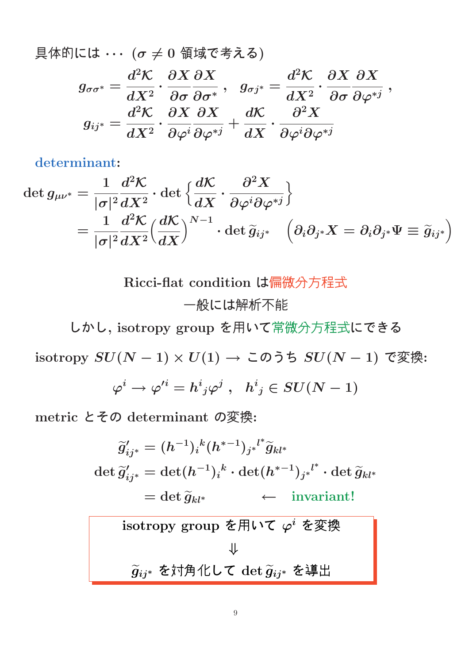$$
\begin{aligned} \text{B} &\nexists \text{ in } (\alpha \neq 0 \text{ if } \text{Hg} \text{ is } \text{Fg}) \\ &g_{\sigma \sigma^*} = \frac{d^2 \mathcal{K}}{d X^2} \cdot \frac{\partial X}{\partial \sigma} \frac{\partial X}{\partial \sigma^*} \,, \quad g_{\sigma j^*} = \frac{d^2 \mathcal{K}}{d X^2} \cdot \frac{\partial X}{\partial \sigma} \frac{\partial X}{\partial \varphi^{*j}} \,, \\ &g_{i j^*} = \frac{d^2 \mathcal{K}}{d X^2} \cdot \frac{\partial X}{\partial \varphi^i} \frac{\partial X}{\partial \varphi^{*j}} + \frac{d \mathcal{K}}{d X} \cdot \frac{\partial^2 X}{\partial \varphi^i \partial \varphi^{*j}} \end{aligned}
$$

determinant:

$$
\det g_{\mu\nu^*} = \frac{1}{|\sigma|^2} \frac{d^2 \mathcal{K}}{dX^2} \cdot \det \left\{ \frac{d\mathcal{K}}{dX} \cdot \frac{\partial^2 X}{\partial \varphi^i \partial \varphi^{*j}} \right\}
$$
  
= 
$$
\frac{1}{|\sigma|^2} \frac{d^2 \mathcal{K}}{dX^2} \left( \frac{d\mathcal{K}}{dX} \right)^{N-1} \cdot \det \widetilde{g}_{ij^*} \quad \left( \partial_i \partial_{j^*} X = \partial_i \partial_{j^*} \Psi \equiv \widetilde{g}_{ij^*} \right)
$$

Ricci-flat condition は偏微分方程式 一般には解析不能

しかし, isotropy group を用いて常微分方程式にできる

isotropy SU(N − 1) × U(1) → このうち SU(N − 1) で変換:

$$
\varphi^i\to\varphi'^i=h^i{}_j\varphi^j\ ,\ \ h^i{}_j\in SU(N-1)
$$

metric とその determinant の変換:

$$
\widetilde{g}'_{ij^*} = (h^{-1})_i{}^k (h^{*-1})_{j^*}{}^{l^*} \widetilde{g}_{kl^*}
$$
\n
$$
\det \widetilde{g}'_{ij^*} = \det (h^{-1})_i{}^k \cdot \det (h^{*-1})_{j^*}{}^{l^*} \cdot \det \widetilde{g}_{kl^*}
$$
\n
$$
= \det \widetilde{g}_{kl^*} \leftarrow \text{invariant!}
$$
\nisotropy group  $\xi \mathbb{H} \cup \tau \varphi^i \xi \mathbb{R} \mathbb{R}$ \n
$$
\downarrow
$$
\n
$$
\widetilde{g}_{ij^*} \xi \overline{\psi} \mathbb{H} \cup \tau \det \widetilde{g}_{ij^*} \xi \overline{\psi}
$$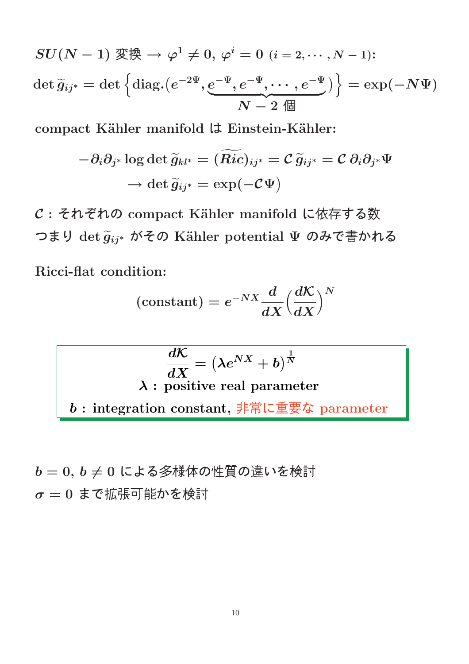$$
SU(N-1) \mathfrak{TR} \to \varphi^1 \neq 0, \varphi^i = 0 \ (i = 2, \cdots, N-1):
$$
  

$$
\det \widetilde{g}_{ij^*} = \det \left\{ \text{diag.}\left( e^{-2\Psi}, \underbrace{e^{-\Psi}, e^{-\Psi}, \cdots, e^{-\Psi}}_{N-2} \right) \right\} = \exp(-N\Psi)
$$

compact Kähler manifold は Einstein-Kähler:

$$
-\partial_i\partial_{j^*}\log\det \widetilde{g}_{kl^*}=(\widetilde{Ric})_{ij^*}=\mathcal{C}\, \widetilde{g}_{ij^*}=\mathcal{C}\,\partial_i\partial_{j^*}\Psi\\ \to \det \widetilde{g}_{ij^*}=\exp(-\mathcal{C}\Psi)
$$

 $C:$  それぞれの compact Kähler manifold に依存する数 つまり det  $\widetilde{g}_{ij^*}$  がその Kähler potential  $\Psi$  のみで書かれる

Ricci-flat condition:

$$
\left(\text{constant}\right)=e^{-NX}\frac{d}{dX}{\left(\frac{d\mathcal{K}}{dX}\right)}^N
$$

$$
\frac{d\mathcal{K}}{dX} = \left(\lambda e^{NX} + b\right)^{\frac{1}{N}}
$$
  

$$
\lambda : \text{ positive real parameter}
$$
  

$$
b : \text{integration constant}, \overline{\frac{1}{2} + \mathbb{E} \cup \underline{\mathbb{E}} \cdot \mathbb{E} \cdot \mathbb{E}} \text{ parameter}
$$

$$
b = 0, b \neq 0 \text{ によう後様体の性質の達いを検計 \n\sigma = 0 まで拡張可能かを検計
$$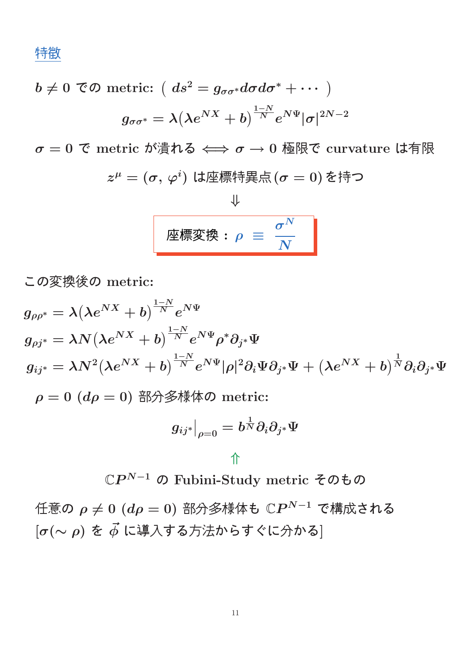特徴

$$
b \neq 0 \text{ } \textcircled{f} \text{ } \text{ metric: } \left( ds^2 = g_{\sigma\sigma^*} d\sigma d\sigma^* + \cdots \right)
$$

$$
g_{\sigma\sigma^*} = \lambda \left( \lambda e^{NX} + b \right)^{\frac{1-N}{N}} e^{N\Psi} |\sigma|^{2N-2}
$$

 $\sigma = 0$  で metric が潰れる  $\Longleftrightarrow \sigma \rightarrow 0$  極限で curvature は有限

 $z^\mu = (\sigma,\,\varphi^i)$  は座標特異点 $(\sigma=0)$  を持つ

$$
\frac{\psi}{\sqrt{\frac{\text{F} \cdot \mathcal{L} \cdot \mathcal{L} \cdot \mathcal{L} \cdot \mathcal{L} \cdot \mathcal{L} \cdot \mathcal{L} \cdot \mathcal{L} \cdot \mathcal{L} \cdot \mathcal{L} \cdot \mathcal{L} \cdot \mathcal{L} \cdot \mathcal{L} \cdot \mathcal{L} \cdot \mathcal{L} \cdot \mathcal{L} \cdot \mathcal{L} \cdot \mathcal{L} \cdot \mathcal{L} \cdot \mathcal{L} \cdot \mathcal{L} \cdot \mathcal{L} \cdot \mathcal{L} \cdot \mathcal{L} \cdot \mathcal{L} \cdot \mathcal{L} \cdot \mathcal{L} \cdot \mathcal{L} \cdot \mathcal{L} \cdot \mathcal{L} \cdot \mathcal{L} \cdot \mathcal{L} \cdot \mathcal{L} \cdot \mathcal{L} \cdot \mathcal{L} \cdot \mathcal{L} \cdot \mathcal{L} \cdot \mathcal{L} \cdot \mathcal{L} \cdot \mathcal{L} \cdot \mathcal{L} \cdot \mathcal{L} \cdot \mathcal{L} \cdot \mathcal{L} \cdot \mathcal{L} \cdot \mathcal{L} \cdot \mathcal{L} \cdot \mathcal{L} \cdot \mathcal{L} \cdot \mathcal{L} \cdot \mathcal{L} \cdot \mathcal{L} \cdot \mathcal{L} \cdot \mathcal{L} \cdot \mathcal{L} \cdot \mathcal{L} \cdot \mathcal{L} \cdot \mathcal{L} \cdot \mathcal{L} \cdot \mathcal{L} \cdot \mathcal{L} \cdot \mathcal{L} \cdot \mathcal{L} \cdot \mathcal{L} \cdot \mathcal{L} \cdot \mathcal{L} \cdot \mathcal{L} \cdot \mathcal{L} \cdot \mathcal{L} \cdot \mathcal{L} \cdot \mathcal{L} \cdot \mathcal{L} \cdot \mathcal{L} \cdot \mathcal{L} \cdot \mathcal{L} \cdot \mathcal{L} \cdot \mathcal{L} \cdot \mathcal{L} \cdot \mathcal{L} \cdot \mathcal{L} \cdot \mathcal{L} \cdot \mathcal{L} \cdot \mathcal{L} \cdot \mathcal{L} \cdot \mathcal{L} \cdot \mathcal{L} \cdot \mathcal{L} \cdot \mathcal{L} \cdot \mathcal{L} \cdot \mathcal{L} \cdot \mathcal{L} \cdot \mathcal{L} \cdot \mathcal{L} \cdot \mathcal{L} \cdot
$$

この変換後の metric:

$$
g_{\rho\rho^*} = \lambda (\lambda e^{NX} + b)^{\frac{1-N}{N}} e^{N\Psi}
$$
  
\n
$$
g_{\rho j^*} = \lambda N (\lambda e^{NX} + b)^{\frac{1-N}{N}} e^{N\Psi} \rho^* \partial_{j^*} \Psi
$$
  
\n
$$
g_{ij^*} = \lambda N^2 (\lambda e^{NX} + b)^{\frac{1-N}{N}} e^{N\Psi} |\rho|^2 \partial_i \Psi \partial_{j^*} \Psi + (\lambda e^{NX} + b)^{\frac{1}{N}} \partial_i \partial_{j^*} \Psi
$$
  
\n
$$
\rho = 0 \ (d\rho = 0) \ \text{iff} \ \text{iff} \ \text{iff} \ \text{for} \ \text{in}
$$

$$
g_{ij^*}\big|_{\rho=0}=b^{\frac{1}{N}}\partial_i\partial_{j^*}\Psi
$$

#### ⇑

 $\mathbb{C}P^{N-1}$  の Fubini-Study metric そのもの

任意の  $\rho \neq 0$   $(d\rho = 0)$  部分多様体も  $\mathbb{C}P^{N-1}$  で構成される  $[\sigma(\sim\rho)$  を  $\vec{\phi}$  に導入する方法からすぐに分かる]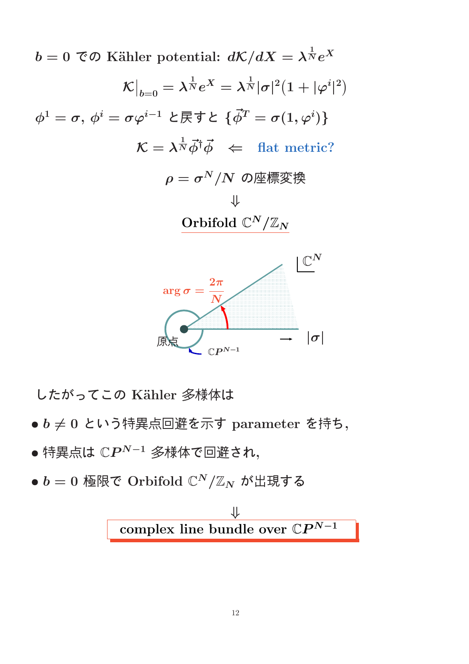$b=0$  To Kähler potential:  $d{\cal K}/dX=\lambda^{\frac{1}{N}}e^X$ K  $\overline{\phantom{a}}$  $\big|_{b=0} = \lambda^{\frac{1}{N}} e^X = \lambda^{\frac{1}{N}} |\sigma|^2 \big( 1 + |\varphi^i|$ |  $\overline{2}$  $\phi^1=\sigma, \, \phi^i=\sigma \varphi^{i-1}$  と戻すと  $\{\vec{\phi}^T=\sigma(1,\varphi^i)\}$  $\mathcal{K} = \lambda^{\frac{1}{N}} \vec{\phi}^{\dagger} \vec{\phi} \;\; \Leftarrow \;\; \text{flat metric?}$  $\rho = \sigma^N/N$  の座標変換 ⇓ Orbifold  $\mathbb{C}^N/\mathbb{Z}_N$ 



したがってこの Kähler 多様体は

- $\bullet$   $b \neq 0$  という特異点回避を示す parameter を持ち,
- $\bullet$  特異点は  $\mathbb{C}P^{N-1}$  多様体で回避され,
- $\bullet~b=0$  極限で Orbifold  $\mathbb{C}^N/\mathbb{Z}_N$  が出現する

$$
\Downarrow
$$
 complex line bundle over  $\mathbb{C}P^{N-1}$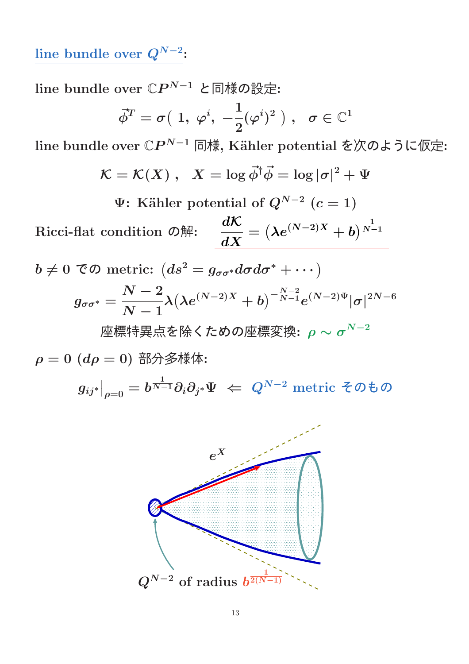line bundle over  $Q^{N-2}$ :

line bundle over  $\mathbb{C}P^{N-1}$  と同様の設定:

$$
\vec{\phi}^T = \sigma\big(\;1,\;\varphi^i,\;-\frac{1}{2}(\varphi^i)^2\;\big)\;,\;\;\sigma\in\mathbb{C}^1
$$

line bundle over  $\mathbb{C}P^{N-1}$  同様, Kähler potential を次のように仮定:

$$
\mathcal{K} = \mathcal{K}(X) \; , \; \; X = \log \vec{\phi}^{\dagger} \vec{\phi} = \log |\sigma|^2 + \Psi
$$

 $\Psi$ : Kähler potential of  $Q^{N-2}$   $(c=1)$ 

Ricci-flat condition の解:  $\frac{d\mathcal{K}}{dt}$  $\boldsymbol{dX}$  $=\left(\lambda e^{(N-2)X}+b\right)^{\frac{1}{N-2}}$  $N-1$ 

 $b\neq 0$  TO metric:  $(ds^{2}=g_{\sigma\sigma^{\ast}}d\sigma d\sigma^{\ast}+\cdots)$  $g_{\sigma\sigma^*}=$  $\frac{N-2}{2}$  $N-1$  $\lambda \big(\lambda e^{(N-2)X}+b\big)^{-\frac{N-2}{N-1}} e^{(N-2)\Psi}|\sigma|^{2N-6}$ 座標特異点を除くための座標変換:  $\rho \sim \sigma^{N-2}$ 

 $\rho = 0$   $(d\rho = 0)$  部分多様体:

 $g_{ij^*}\big|$  $\big|_{\rho=0}=b^{\frac{1}{N-1}}\partial_i\partial_{j^*}\Psi\,\,\Leftarrow\,\,Q^{N-2}\,\,\text{metric}\,\,$ そのもの

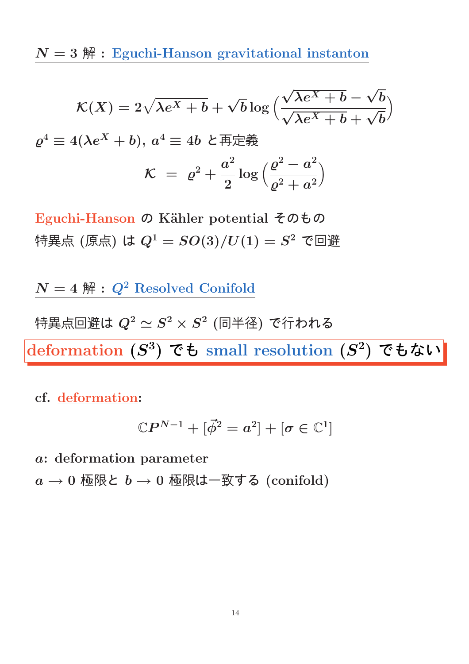$N = 3$   $\mathbb{H}$  : Eguchi-Hanson gravitational instanton

$$
\mathcal{K}(X) = 2\sqrt{\lambda e^X + b} + \sqrt{b} \log \left( \frac{\sqrt{\lambda e^X + b} - \sqrt{b}}{\sqrt{\lambda e^X + b} + \sqrt{b}} \right)
$$

$$
\varrho^4 \equiv 4(\lambda e^X + b), \ a^4 \equiv 4b \ \mathcal{L} \overline{\text{H}} \overline{\text{H}} \overline{\text{H}} \overline{\text{H}}
$$

$$
\mathcal{K} = \ \varrho^2 + \frac{a^2}{2} \log \left( \frac{\varrho^2 - a^2}{\varrho^2 + a^2} \right)
$$

Eguchi-Hanson の Kähler potential そのもの 特異点 (原点) は  $Q^1=SO(3)/U(1)=S^2$  で回避

 $N = 4$   $\mathbb{H}$  :  $Q^2$  Resolved Conifold

特異点回避は  $Q^2 \simeq S^2 \times S^2$  (同半径) で行われる deformation  $(S^3)$  でも small resolution  $(S^2)$  でもない

cf. deformation:

$$
\mathbb{C}P^{N-1}+[\vec{\phi}^2=a^2]+[\sigma\in\mathbb{C}^1]
$$

a: deformation parameter

 $a \rightarrow 0$  極限と  $b \rightarrow 0$  極限は一致する (conifold)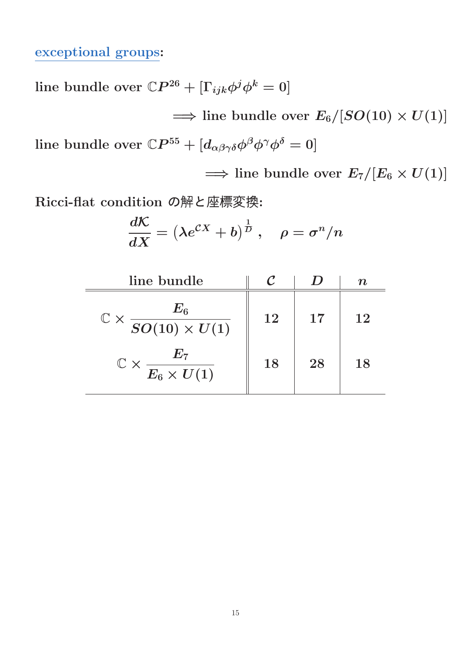#### exceptional groups:

line bundle over  $\mathbb{C}P^{26} + [\Gamma_{ijk} \phi^j \phi^k = 0]$ 

 $\implies$  line bundle over  $E_6/[SO(10) \times U(1)]$ line bundle over  $\mathbb{C}P^{55} + [d_{\alpha\beta\gamma\delta}\phi^{\beta}\phi^{\gamma}\phi^{\delta} = 0]$ 

 $\implies$  line bundle over  $E_7/[E_6 \times U(1)]$ 

Ricci-flat condition の解と座標変換:

$$
\frac{d\mathcal{K}}{dX}=\left(\lambda e^{\mathcal{C}X}+b\right)^{\frac{1}{D}}\,,\quad \rho=\sigma^n/n
$$

| line bundle                                            |    |    | TI. |
|--------------------------------------------------------|----|----|-----|
| $\frac{E_6}{SO(10)\times U(1)}$<br>$\mathbb{C} \times$ | 12 | 17 | 12  |
| $\mathbb{C}\times \frac{E_7}{E_6\times U(1)}$          | 18 | 28 | 18  |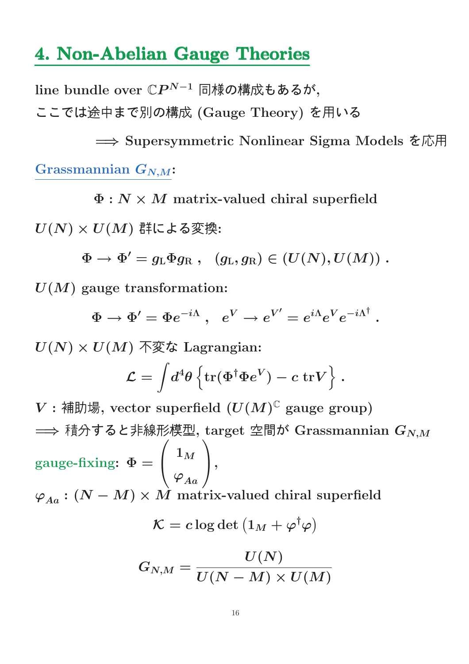### 4. Non-Abelian Gauge Theories

line bundle over  $\mathbb{C}P^{N-1}$  同様の構成もあるが, ここでは途中まで別の構成 (Gauge Theory) を用いる

=⇒ Supersymmetric Nonlinear Sigma Models を応用 Grassmannian  $G_{N,M}$ :

 $\Phi : N \times M$  matrix-valued chiral superfield

 $U(N) \times U(M)$  群による変換:

 $\Phi \rightarrow \Phi'=g_{\rm L}\Phi g_{\rm R} \ , \ \ \ (g_{\rm L},g_{\rm R})\in (U(N),U(M)) \ .$ 

 $U(M)$  gauge transformation:

 $\Phi \rightarrow \Phi' = \Phi e^{-i\Lambda} \ , \ \ e^V \rightarrow e^{V'} = e^{i\Lambda} e^V e^{-i\Lambda^\dagger} \ .$ 

 $U(N) \times U(M)$  不変な Lagrangian:

$$
\mathcal{L} = \int \! d^4 \theta \left\{ \text{tr}(\Phi^\dagger \Phi e^V) - c \; \text{tr} V \right\} \, .
$$

 $V:$  補助場, vector superfield  $(U(M)^{\mathbb{C}}$  gauge group)  $\implies$  積分すると非線形模型, target 空間が Grassmannian  $G_{N,M}$ gauge-fixing:  $\Phi =$  $\overline{1}$  $\mathbf{I}$  $\mathbf{1}_M$  $\overline{\varphi}_{Aa}$  $\setminus$ ,  $\varphi_{Aa} : (N-M) \times \hat{M}$  matrix-valued chiral superfield  $\mathcal{K} = c \log \det \left( 1_M + \varphi^\dagger \varphi \right)$ 

$$
G_{N,M}=\frac{U(N)}{U(N-M)\times U(M)}
$$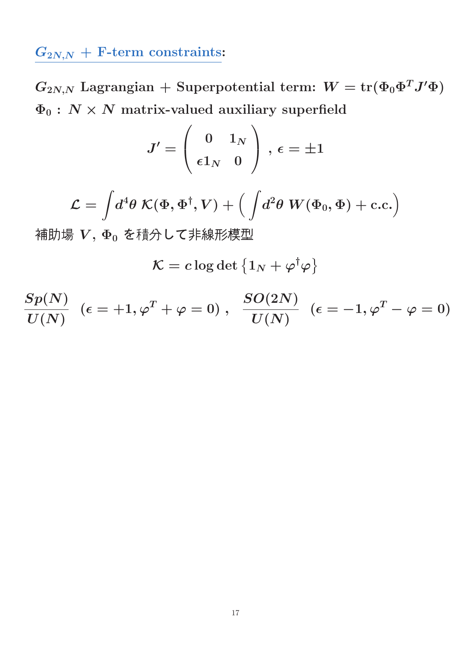## $G_{2N,N}$  + F-term constraints:

 $G_{2N,N}$  Lagrangian + Superpotential term:  $W = \text{tr}(\Phi_0 \Phi^T J' \Phi)$  $\Phi_0$ :  $N \times N$  matrix-valued auxiliary superfield

$$
J'=\left(\begin{array}{cc} 0 & 1_N \\ \epsilon 1_N & 0 \end{array}\right)\,,\,\epsilon=\pm 1
$$

$$
\mathcal{L} = \int \! d^4 \theta \; \mathcal{K}(\Phi,\Phi^\dagger,V) + \Big( \int \! d^2 \theta \; W(\Phi_0,\Phi) + \text{c.c.} \Big)
$$

補助場  $V, \Phi_0$ を積分して非線形模型

 $\mathcal{K} = c \log \det \left\{ 1_N + \varphi^\dagger \varphi \right\}$ 

$$
\frac{Sp(N)}{U(N)}\;\;(\epsilon=+1,\varphi^T+\varphi=0)\;,\;\;\frac{SO(2N)}{U(N)}\;\;(\epsilon=-1,\varphi^T-\varphi=0)
$$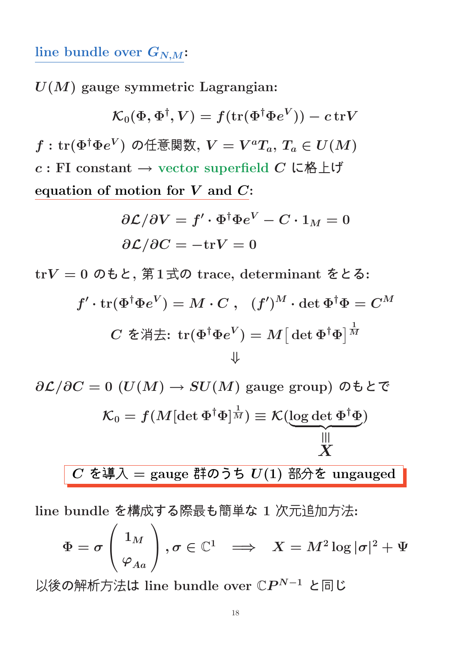#### line bundle over  $G_{N,M}$ :

 $U(M)$  gauge symmetric Lagrangian:

$$
\mathcal{K}_0(\Phi,\Phi^\dagger,V)=f(\text{tr}(\Phi^\dagger\Phi e^V))-c\,\text{tr} V
$$

 $f:\operatorname{tr}(\Phi^\dagger \Phi e^V)$  の任意関数,  $V=V^aT_a,$   $T_a\in U(M)$  $c : \text{FI}$  constant  $\rightarrow$  vector superfield  $C$  に格上げ equation of motion for  $V$  and  $C$ :

$$
\partial \mathcal{L}/\partial V = f' \cdot \Phi^{\dagger} \Phi e^V - C \cdot 1_M = 0
$$
  

$$
\partial \mathcal{L}/\partial C = -\text{tr}V = 0
$$

trV = 0 のもと, 第1式の trace, determinant をとる:

$$
f' \cdot \operatorname{tr}(\Phi^\dagger \Phi e^V) = M \cdot C \ , \quad (f')^M \cdot \det \Phi^\dagger \Phi = C^M
$$
  

$$
C \ \check \Phi \H \ddot\Xi \colon \operatorname{tr}(\Phi^\dagger \Phi e^V) = M \big[ \det \Phi^\dagger \Phi \big]^\frac{1}{M}
$$

$$
\partial \mathcal{L}/\partial C = 0 \ (U(M) \to SU(M) \text{ gauge group}) \ \partial \mathbf{t} \mathcal{L} \mathbf{C}
$$
\n
$$
\mathcal{K}_0 = f(M[\det \Phi^\dagger \Phi]^\frac{1}{M}) \equiv \mathcal{K}(\underbrace{\log \det \Phi^\dagger \Phi}_{M})
$$
\n
$$
C \ \mathbf{\hat{z}} \mathbf{\hat{H}} \lambda = \text{gauge }\mathbf{\hat{H}} \mathbf{\hat{0}} \mathbf{\hat{0}} \mathbf{\hat{5}} \ U(1) \ \mathbf{\hat{B}} \mathbf{\hat{0}} \mathbf{\hat{6}} \ \text{ungauged}
$$

line bundle を構成する際最も簡単な 1 次元追加方法:

$$
\Phi=\sigma\left(\frac{1_M}{\varphi_{Aa}}\right), \sigma\in\mathbb{C}^1\;\;\Longrightarrow\;\;X=M^2\log|\sigma|^2+\Psi
$$

以後の解析方法は line bundle over ℂ $P^{N-1}$  と同じ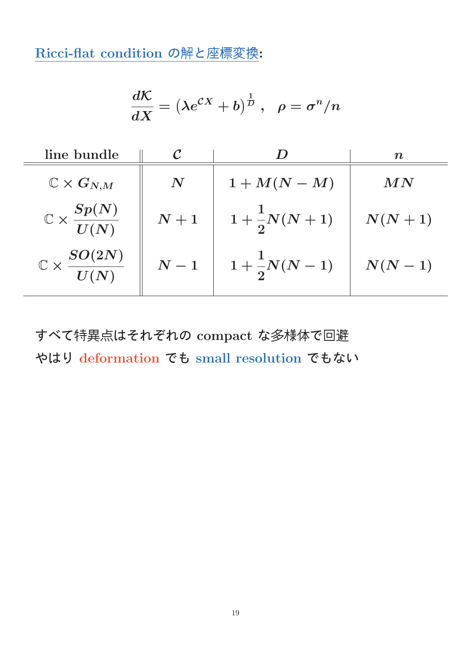Ricci-flat condition の解と座標変換:

$$
\frac{d\mathcal{K}}{dX}=\left(\lambda e^{\mathcal{C}X}+b\right)^{\frac{1}{D}}\,,\ \ \rho=\sigma^n/n
$$

| line bundle                            |                  |                       | $\boldsymbol{n}$ |
|----------------------------------------|------------------|-----------------------|------------------|
| $\mathbb{C}\times G_{N,M}$             | $\boldsymbol{N}$ | $1+M(N-M)$            | MN               |
| $\mathbb{C}\times\frac{Sp(N)}{U(N)}$   | $\,N+1$          | $1+\frac{1}{2}N(N+1)$ | $N(N+1)$         |
| $\mathbb{C}\times \frac{SO(2N)}{U(N)}$ | $N-1$            | $1+\frac{1}{2}N(N-1)$ | $N(N-1)$         |

すべて特異点はそれぞれの compact な多様体で回避 やはり deformation でも small resolution でもない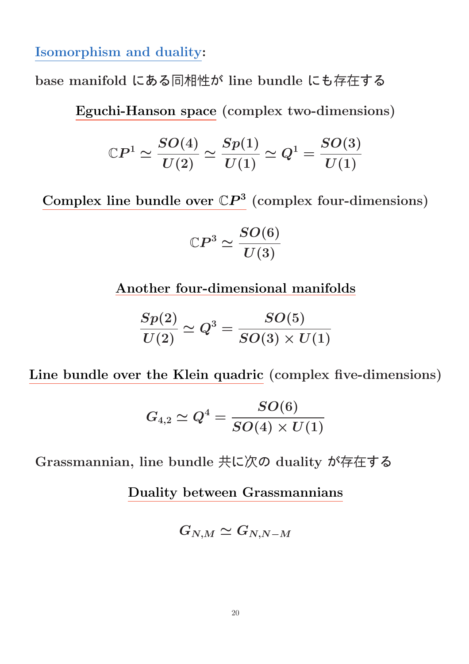Isomorphism and duality:

base manifold にある同相性が line bundle にも存在する

Eguchi-Hanson space (complex two-dimensions)

$$
{\Bbb C}P^{1}\simeq \frac{SO(4)}{U(2)}\simeq \frac{Sp(1)}{U(1)}\simeq Q^{1}=\frac{SO(3)}{U(1)}
$$

Complex line bundle over  $\mathbb{C}P^3$  (complex four-dimensions)

$$
\mathbb{C}P^3 \simeq \frac{SO(6)}{U(3)}
$$

Another four-dimensional manifolds

$$
\frac{Sp(2)}{U(2)}\simeq Q^3=\frac{SO(5)}{SO(3)\times U(1)}
$$

Line bundle over the Klein quadric (complex five-dimensions)

$$
G_{4,2}\simeq Q^4=\frac{SO(6)}{SO(4)\times U(1)}
$$

Grassmannian, line bundle 共に次の duality が存在する

Duality between Grassmannians

$$
G_{N,M}\simeq G_{N,N-M}
$$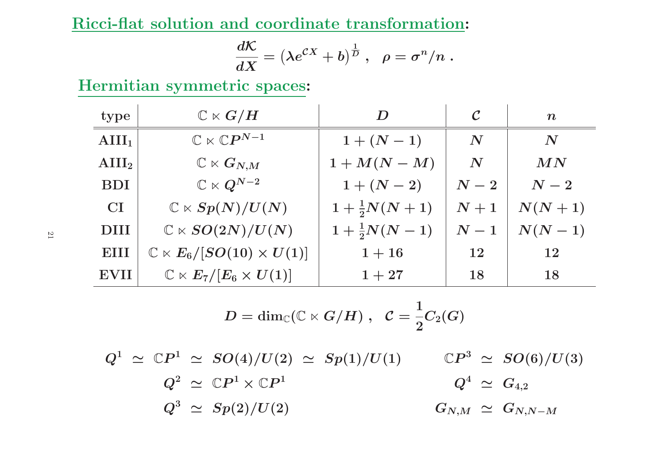Ricci-flat solution and coordinate transformation:

$$
\frac{d{\cal K}}{dX}=\left(\lambda e^{{\cal C}X}+b\right)^{\frac{1}{D}}\,,\ \ \rho=\sigma^n/n\;.
$$

Hermitian symmetric spaces:

| type              | $\mathbb{C}\ltimes G/H$                       | D                     | $\cal C$           | $\boldsymbol{n}$   |
|-------------------|-----------------------------------------------|-----------------------|--------------------|--------------------|
| $\text{AlII}_1$   | $\mathbb{C}\ltimes \mathbb{C}P^{N-1}$         | $1 + (N - 1)$         | $\boldsymbol{N}$   | $\boldsymbol{N}$   |
| $\mathbf{AIII}_2$ | $\mathbb{C}\ltimes G_{N,M}$                   | $1+M(N-M)$            | $\boldsymbol{N}$   | MN                 |
| <b>BDI</b>        | $\mathbb{C}\ltimes Q^{N-2}$                   | $1 + (N - 2)$         | $\boldsymbol{N-2}$ | $\boldsymbol{N-2}$ |
| CI                | $\mathbb{C} \ltimes Sp(N)/U(N)$               | $1+\frac{1}{2}N(N+1)$ | $N+1$              | $N(N+1)$           |
| <b>DIII</b>       | $\mathbb{C} \ltimes SO(2N)/U(N)$              | $1+\frac{1}{2}N(N-1)$ | $\boldsymbol{N-1}$ | $N(N-1)$           |
| EIII              | $\mathbb{C} \ltimes E_6/[SO(10) \times U(1)]$ | $1 + 16$              | 12                 | 12                 |
| <b>EVII</b>       | $\mathbb{C}\ltimes E_7/[E_6\times U(1)]$      | $1+27$                | 18                 | 18                 |

$$
D = \dim_\mathbb{C} (\mathbb{C} \ltimes G/H) \;,\;\; \mathcal{C} = \frac{1}{2} C_2(G)
$$

 $Q^1 \,\, \simeq \,\, \mathbb{C}P^1 \,\, \simeq \,\, SO(4)/U(2) \,\, \simeq \,\, Sp(1)/U(1)$  $Q^2 \,\, \simeq \,\, \mathbb{C}P^1 \times \mathbb{C}P^1$  $\mathbb{C}P^3 \ \simeq \ SO(6)/U(3)$  $Q^3 \,\,\simeq\,\, Sp(2)/U(2)$  $Q^4 \,\, \simeq \,\, G_{4,2}$  $G_{N,M}\;\simeq\;G_{N,N-M}$ 

21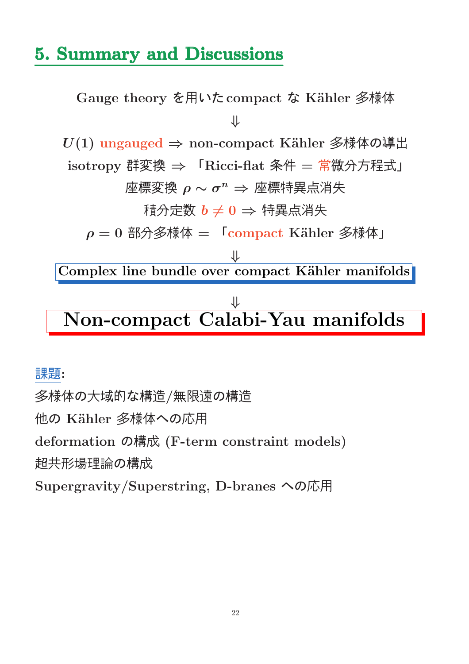## 5. Summary and Discussions

Gauge theory を用いた compact な Kähler 多様体 ⇓  $U(1)$  ungauged  $\Rightarrow$  non-compact Kähler 多様体の導出 isotropy 群変換 ⇒ 「 $Ricci$ -flat 条件 = 常微分方程式」  $\mathbb{E}$ 標変換  $\rho \sim \sigma^n \Rightarrow \mathbb{E}$ 標特異点消失 積分定数  $b \neq 0$  ⇒ 特異点消失  $\rho = 0$  部分多様体 =  $\Gamma$ compact Kähler 多様体」 ⇓ Complex line bundle over compact Kähler manifolds  $\overline{\mathcal{X}}$ Non-compact Calabi-Yau manifolds

#### 課題:

多様体の大域的な構造/無限遠の構造 他の Kähler 多様体への応用 deformation の構成 (F-term constraint models) 超共形場理論の構成 Supergravity/Superstring, D-branes への応用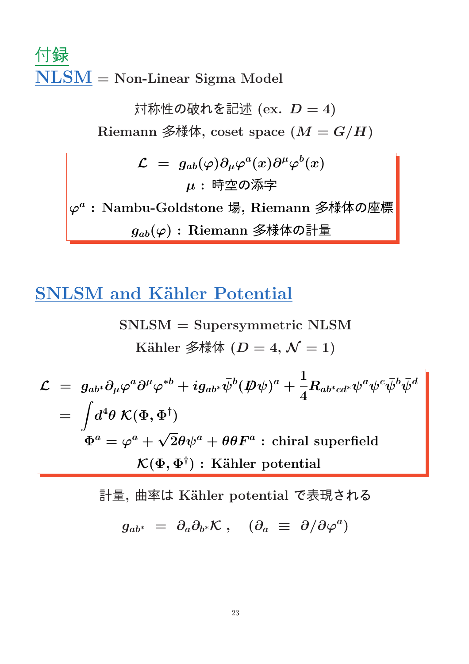## 付録 NLSM = Non-Linear Sigma Model

対称性の破れを記述 $(ex. D = 4)$ Riemann 多様体, coset space  $(M = G/H)$  $\mathcal{L} \,\,=\,\, g_{ab}(\varphi) \partial_\mu \varphi^a(x) \partial^\mu \varphi^b(x)$ 

 $\varphi^a$ :Nambu-Goldstone 場, Riemann 多様体の座標  $g_{ab}(\varphi)$ : Riemann 多様体の計量

 $\mu$ : 時空の添字

## **SNLSM** and Kähler Potential

$$
SNLSM = Supersymmetric NLSM
$$
  
\nKähler  $\hat{\mathcal{Z}}\hat{\n \pi}\hat{\n \pi}$   $(D = 4, \mathcal{N} = 1)$ 

$$
\mathcal{L} = g_{ab^*} \partial_\mu \varphi^a \partial^\mu \varphi^{*b} + i g_{ab^*} \bar{\psi}^b (\not\!\!D \psi)^a + \frac{1}{4} R_{ab^*cd^*} \psi^a \psi^c \bar{\psi}^b \bar{\psi}^d
$$
\n
$$
= \int d^4 \theta \; \mathcal{K}(\Phi, \Phi^\dagger)
$$
\n
$$
\Phi^a = \varphi^a + \sqrt{2} \theta \psi^a + \theta \theta F^a : \text{chiral superfield}
$$
\n
$$
\mathcal{K}(\Phi, \Phi^\dagger) : \text{Kähler potential}
$$

計量,曲率は Kähler potential で表現される

$$
g_{ab^*} \,\,=\,\, \partial_a \partial_{b^*} \mathcal{K} \;,\quad (\partial_a \,\,\equiv\,\, \partial/\partial \varphi^a)
$$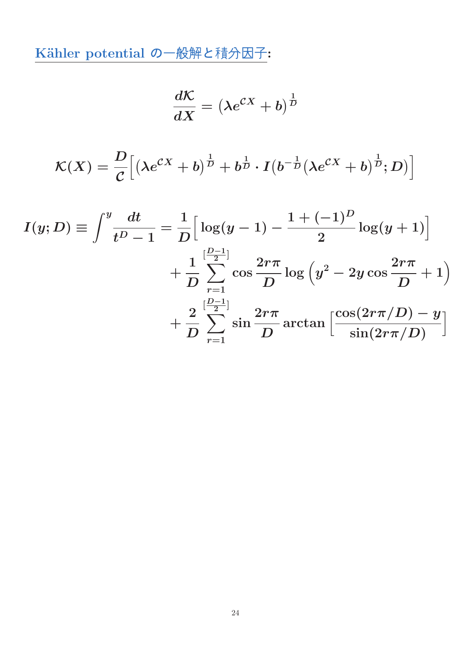Kähler potential の一般解と積分因子:

$$
\frac{d\mathcal{K}}{dX}=\left(\lambda e^{\mathcal{C}X}+b\right)^{\frac{1}{D}}
$$

$$
\mathcal{K}(X) = \frac{D}{\mathcal{C}} \Big[ \left( \lambda e^{\mathcal{C}X} + b \right)^{\frac{1}{D}} + b^{\frac{1}{D}} \cdot I \left( b^{-\frac{1}{D}} (\lambda e^{\mathcal{C}X} + b)^{\frac{1}{D}}; D \right) \Big]
$$

$$
I(y; D) \equiv \int^y \frac{dt}{t^D - 1} = \frac{1}{D} \Big[ \log(y - 1) - \frac{1 + (-1)^D}{2} \log(y + 1) \Big] + \frac{1}{D} \sum_{r=1}^{\left[\frac{D-1}{2}\right]} \cos \frac{2r\pi}{D} \log \Big( y^2 - 2y \cos \frac{2r\pi}{D} + 1 \Big) + \frac{2}{D} \sum_{r=1}^{\left[\frac{D-1}{2}\right]} \sin \frac{2r\pi}{D} \arctan \Big[ \frac{\cos(2r\pi/D) - y}{\sin(2r\pi/D)} \Big]
$$